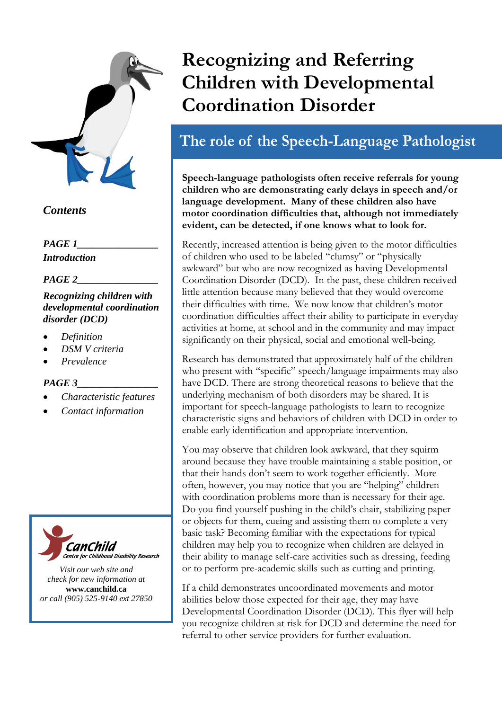

## *Contents*

*PAGE 1\_\_\_\_\_\_\_\_\_\_\_\_\_\_\_\_ Introduction* 

### *PAGE 2\_\_\_\_\_\_\_\_\_\_\_\_\_\_\_\_*

### *Recognizing children with developmental coordination disorder (DCD)*

- *Definition*
- *DSM V criteria*
- *Prevalence*

### *PAGE 3\_\_\_\_\_\_\_\_\_\_\_\_\_\_\_\_*

- *Characteristic features*
- *Contact information*



*Visit our web site and check for new information at* **www.canchild.ca** *or call (905) 525-9140 ext 27850*

# **Recognizing and Referring Children with Developmental Coordination Disorder**

# The role of the Speech-Language Pathologist

**Speech-language pathologists often receive referrals for young children who are demonstrating early delays in speech and/or language development. Many of these children also have motor coordination difficulties that, although not immediately evident, can be detected, if one knows what to look for.** 

Recently, increased attention is being given to the motor difficulties of children who used to be labeled "clumsy" or "physically awkward" but who are now recognized as having Developmental Coordination Disorder (DCD). In the past, these children received little attention because many believed that they would overcome their difficulties with time. We now know that children's motor coordination difficulties affect their ability to participate in everyday activities at home, at school and in the community and may impact significantly on their physical, social and emotional well-being.

Research has demonstrated that approximately half of the children who present with "specific" speech/language impairments may also have DCD. There are strong theoretical reasons to believe that the underlying mechanism of both disorders may be shared. It is important for speech-language pathologists to learn to recognize characteristic signs and behaviors of children with DCD in order to enable early identification and appropriate intervention.

You may observe that children look awkward, that they squirm around because they have trouble maintaining a stable position, or that their hands don't seem to work together efficiently. More often, however, you may notice that you are "helping" children with coordination problems more than is necessary for their age. Do you find yourself pushing in the child's chair, stabilizing paper or objects for them, cueing and assisting them to complete a very basic task? Becoming familiar with the expectations for typical children may help you to recognize when children are delayed in their ability to manage self-care activities such as dressing, feeding or to perform pre-academic skills such as cutting and printing.

If a child demonstrates uncoordinated movements and motor abilities below those expected for their age, they may have Developmental Coordination Disorder (DCD). This flyer will help you recognize children at risk for DCD and determine the need for referral to other service providers for further evaluation.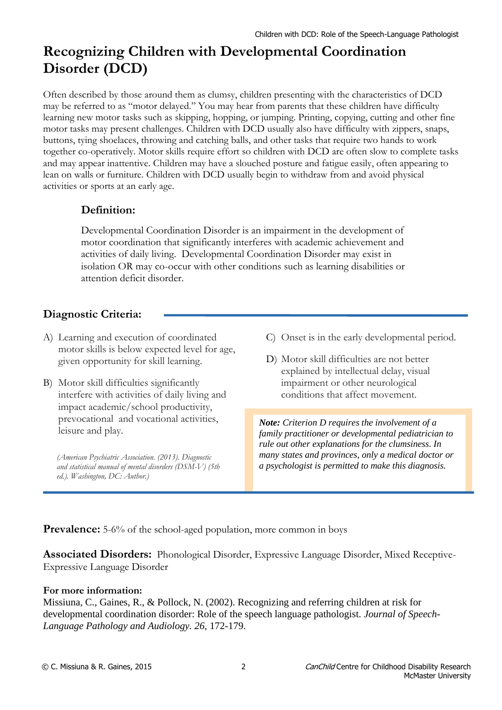# **Recognizing Children with Developmental Coordination Disorder (DCD)**

Often described by those around them as clumsy, children presenting with the characteristics of DCD may be referred to as "motor delayed." You may hear from parents that these children have difficulty learning new motor tasks such as skipping, hopping, or jumping. Printing, copying, cutting and other fine motor tasks may present challenges. Children with DCD usually also have difficulty with zippers, snaps, buttons, tying shoelaces, throwing and catching balls, and other tasks that require two hands to work together co-operatively. Motor skills require effort so children with DCD are often slow to complete tasks and may appear inattentive. Children may have a slouched posture and fatigue easily, often appearing to lean on walls or furniture. Children with DCD usually begin to withdraw from and avoid physical activities or sports at an early age.

### **Definition:**

Developmental Coordination Disorder is an impairment in the development of motor coordination that significantly interferes with academic achievement and activities of daily living. Developmental Coordination Disorder may exist in isolation OR may co-occur with other conditions such as learning disabilities or attention deficit disorder.

# **Diagnostic Criteria:**

- A) Learning and execution of coordinated motor skills is below expected level for age, given opportunity for skill learning.
- B) Motor skill difficulties significantly interfere with activities of daily living and impact academic/school productivity, prevocational and vocational activities, leisure and play.

*(American Psychiatric Association. (2013). Diagnostic and statistical manual of mental disorders (DSM-V) (5th ed.). Washington, DC: Author.)*

- C) Onset is in the early developmental period.
- D) Motor skill difficulties are not better explained by intellectual delay, visual impairment or other neurological conditions that affect movement.

*Note: Criterion D requires the involvement of a family practitioner or developmental pediatrician to rule out other explanations for the clumsiness. In many states and provinces, only a medical doctor or a psychologist is permitted to make this diagnosis.*

**Prevalence:** 5-6% of the school-aged population, more common in boys

**Associated Disorders:** Phonological Disorder, Expressive Language Disorder, Mixed Receptive-Expressive Language Disorder

#### **For more information:**

Missiuna, C., Gaines, R., & Pollock, N. (2002). Recognizing and referring children at risk for developmental coordination disorder: Role of the speech language pathologist. *Journal of Speech-Language Pathology and Audiology. 26,* 172-179.